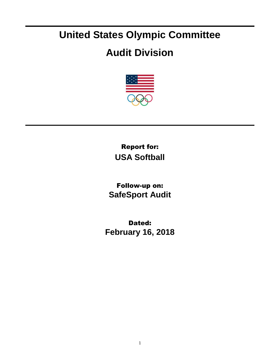## **United States Olympic Committee**

## **Audit Division**



Report for: **USA Softball**

Follow-up on: **SafeSport Audit**

Dated: **February 16, 2018**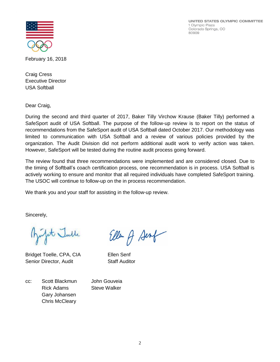UNITED STATES OLYMPIC COMMITTEE 1 Olympic Plaza Colorado Springs, CO 80909



February 16, 2018

Craig Cress Executive Director USA Softball

Dear Craig,

During the second and third quarter of 2017, Baker Tilly Virchow Krause (Baker Tilly) performed a SafeSport audit of USA Softball. The purpose of the follow-up review is to report on the status of recommendations from the SafeSport audit of USA Softball dated October 2017. Our methodology was limited to communication with USA Softball and a review of various policies provided by the organization. The Audit Division did not perform additional audit work to verify action was taken. However, SafeSport will be tested during the routine audit process going forward.

The review found that three recommendations were implemented and are considered closed. Due to the timing of Softball's coach certification process, one recommendation is in process. USA Softball is actively working to ensure and monitor that all required individuals have completed SafeSport training. The USOC will continue to follow-up on the in process recommendation.

We thank you and your staff for assisting in the follow-up review.

Sincerely,

st Julle

Bridget Toelle, CPA, CIA Ellen Senf Senior Director, Audit Staff Auditor

Ellen A Senf

cc: Scott Blackmun John Gouveia Rick Adams Steve Walker Gary Johansen Chris McCleary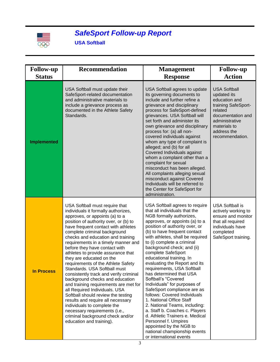

## *SafeSport Follow-up Report*

**USA Softball**

| <b>Follow-up</b>   | <b>Recommendation</b>                                                                                                                                                                                                                                                                                                                                                                                                                                                                                                                                                                                                                                                                                                                                                                                                                          | <b>Management</b>                                                                                                                                                                                                                                                                                                                                                                                                                                                                                                                                                                                                                                                                                                                                                                                                 | <b>Follow-up</b>                                                                                                                                                               |
|--------------------|------------------------------------------------------------------------------------------------------------------------------------------------------------------------------------------------------------------------------------------------------------------------------------------------------------------------------------------------------------------------------------------------------------------------------------------------------------------------------------------------------------------------------------------------------------------------------------------------------------------------------------------------------------------------------------------------------------------------------------------------------------------------------------------------------------------------------------------------|-------------------------------------------------------------------------------------------------------------------------------------------------------------------------------------------------------------------------------------------------------------------------------------------------------------------------------------------------------------------------------------------------------------------------------------------------------------------------------------------------------------------------------------------------------------------------------------------------------------------------------------------------------------------------------------------------------------------------------------------------------------------------------------------------------------------|--------------------------------------------------------------------------------------------------------------------------------------------------------------------------------|
| <b>Status</b>      |                                                                                                                                                                                                                                                                                                                                                                                                                                                                                                                                                                                                                                                                                                                                                                                                                                                | <b>Response</b>                                                                                                                                                                                                                                                                                                                                                                                                                                                                                                                                                                                                                                                                                                                                                                                                   | <b>Action</b>                                                                                                                                                                  |
| <b>Implemented</b> | USA Softball must update their<br>SafeSport-related documentation<br>and administrative materials to<br>include a grievance process as<br>documented in the Athlete Safety<br>Standards.                                                                                                                                                                                                                                                                                                                                                                                                                                                                                                                                                                                                                                                       | USA Softball agrees to update<br>its governing documents to<br>include and further refine a<br>grievance and disciplinary<br>process for SafeSport-defined<br>grievances. USA Softball will<br>set forth and administer its<br>own grievance and disciplinary<br>process for: (a) all non-<br>covered individuals against<br>whom any type of complaint is<br>alleged; and (b) for all<br>Covered Individuals against<br>whom a complaint other than a<br>complaint for sexual<br>misconduct has been alleged.<br>All complaints alleging sexual<br>misconduct against Covered<br>Individuals will be referred to<br>the Center for SafeSport for<br>administration.                                                                                                                                              | <b>USA Softball</b><br>updated its<br>education and<br>training SafeSport-<br>related<br>documentation and<br>administrative<br>materials to<br>address the<br>recommendation. |
| <b>In Process</b>  | USA Softball must require that<br>individuals it formally authorizes,<br>approves, or appoints (a) to a<br>position of authority over, or (b) to<br>have frequent contact with athletes<br>complete criminal background<br>checks and education and training<br>requirements in a timely manner and<br>before they have contact with<br>athletes to provide assurance that<br>they are educated on the<br>requirements of the Athlete Safety<br>Standards. USA Softball must<br>consistently track and verify criminal<br>background checks and education<br>and training requirements are met for<br>all Required Individuals. USA<br>Softball should review the testing<br>results and require all necessary<br>individuals to complete the<br>necessary requirements (i.e.,<br>criminal background check and/or<br>education and training). | USA Softball agrees to require<br>that all individuals that the<br>NGB formally authorizes,<br>approves, or appoints (a) to a<br>position of authority over, or<br>(b) to have frequent contact<br>with athletes, shall be required<br>to (i) complete a criminal<br>background check; and (ii)<br>complete SafeSport<br>educational training. In<br>evaluating the Report and its<br>requirements, USA Softball<br>has determined that USA<br>Softball's "Covered<br>Individuals" for purposes of<br>SafeSport compliance are as<br>follows: Covered Individuals<br>1. National Office Staff<br>2. National Teams, including:<br>a. Staff b. Coaches c. Players<br>d. Athletic Trainers e. Medical<br>Personnel f. Umpires<br>appointed by the NGB to<br>national championship events<br>or international events | <b>USA Softball is</b><br>actively working to<br>ensure and monitor<br>that all required<br>individuals have<br>completed<br>SafeSport training.                               |